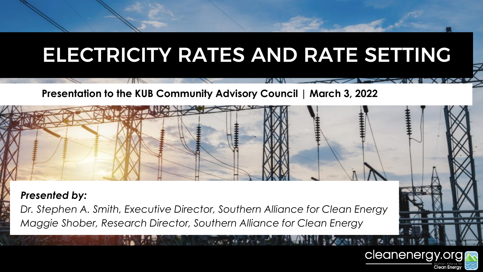# ELECTRICITY RATES AND RATE SETTING

**CONTACT AND ACTES OF ACTION** 

cleanenergy.org

#### **Presentation to the KUB Community Advisory Council | March 3, 2022**

*Presented by:*

*Dr. Stephen A. Smith, Executive Director, Southern Alliance for Clean Energy Maggie Shober, Research Director, Southern Alliance for Clean Energy*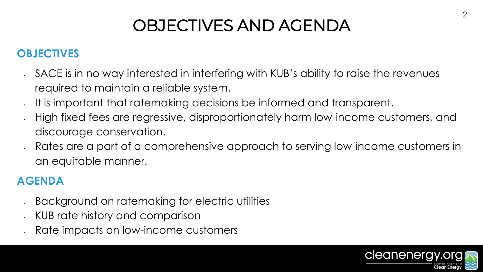# OBJECTIVES AND AGENDA

### **OBJECTIVES**

- SACE is in no way interested in interfering with KUB's ability to raise the revenues required to maintain a reliable system.
- It is important that ratemaking decisions be informed and transparent.
- High fixed fees are regressive, disproportionately harm low-income customers, and discourage conservation.
- Rates are a part of a comprehensive approach to serving low-income customers in an equitable manner.

### **AGENDA**

- Background on ratemaking for electric utilities
- KUB rate history and comparison
- Rate impacts on low-income customers

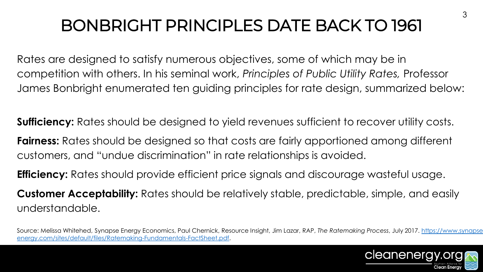# BONBRIGHT PRINCIPLES DATE BACK TO 1961

Rates are designed to satisfy numerous objectives, some of which may be in competition with others. In his seminal work, *Principles of Public Utility Rates,* Professor James Bonbright enumerated ten guiding principles for rate design, summarized below:

**Sufficiency:** Rates should be designed to yield revenues sufficient to recover utility costs.

**Fairness:** Rates should be designed so that costs are fairly apportioned among different customers, and "undue discrimination" in rate relationships is avoided.

**Efficiency:** Rates should provide efficient price signals and discourage wasteful usage.

**Customer Acceptability:** Rates should be relatively stable, predictable, simple, and easily understandable.

[Source: Melissa Whitehed, Synapse Energy Economics, Paul Chernick, Resource Insight, Jim Lazar, RAP,](https://www.synapse-energy.com/sites/default/files/Ratemaking-Fundamentals-FactSheet.pdf) *The Ratemaking Process*, July 2017. https://www.synapseenergy.com/sites/default/files/Ratemaking-Fundamentals-FactSheet.pdf.

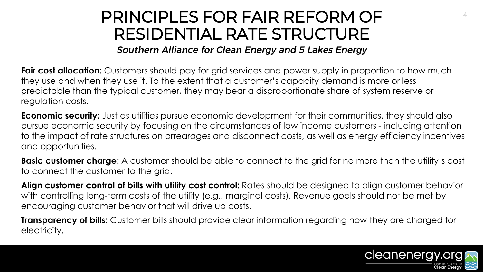## PRINCIPLES FOR FAIR REFORM OF RESIDENTIAL RATE STRUCTURE

**Southern Alliance for Clean Energy and 5 Lakes Energy** 

**Fair cost allocation:** Customers should pay for grid services and power supply in proportion to how much they use and when they use it. To the extent that a customer's capacity demand is more or less predictable than the typical customer, they may bear a disproportionate share of system reserve or regulation costs.

**Economic security:** Just as utilities pursue economic development for their communities, they should also pursue economic security by focusing on the circumstances of low income customers - including attention to the impact of rate structures on arrearages and disconnect costs, as well as energy efficiency incentives and opportunities.

**Basic customer charge:** A customer should be able to connect to the grid for no more than the utility's cost to connect the customer to the grid.

**Align customer control of bills with utility cost control:** Rates should be designed to align customer behavior with controlling long-term costs of the utility (e.g., marginal costs). Revenue goals should not be met by encouraging customer behavior that will drive up costs.

**Transparency of bills:** Customer bills should provide clear information regarding how they are charged for electricity.

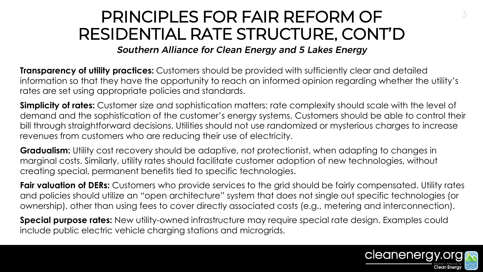## PRINCIPLES FOR FAIR REFORM OF 5 RESIDENTIAL RATE STRUCTURE, CONT'D

**Southern Alliance for Clean Energy and 5 Lakes Energy** 

**Transparency of utility practices:** Customers should be provided with sufficiently clear and detailed information so that they have the opportunity to reach an informed opinion regarding whether the utility's rates are set using appropriate policies and standards.

**Simplicity of rates:** Customer size and sophistication matters: rate complexity should scale with the level of demand and the sophistication of the customer's energy systems. Customers should be able to control their bill through straightforward decisions. Utilities should not use randomized or mysterious charges to increase revenues from customers who are reducing their use of electricity.

**Gradualism:** Utility cost recovery should be adaptive, not protectionist, when adapting to changes in marginal costs. Similarly, utility rates should facilitate customer adoption of new technologies, without creating special, permanent benefits tied to specific technologies.

**Fair valuation of DERs:** Customers who provide services to the grid should be fairly compensated. Utility rates and policies should utilize an "open architecture" system that does not single out specific technologies (or ownership), other than using fees to cover directly associated costs (e.g., metering and interconnection).

**Special purpose rates:** New utility-owned infrastructure may require special rate design. Examples could include public electric vehicle charging stations and microgrids.

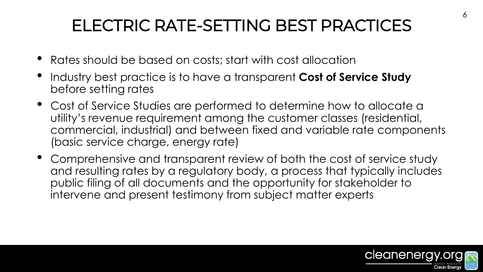# ELECTRIC RATE-SETTING BEST PRACTICES

- Rates should be based on costs; start with cost allocation
- Industry best practice is to have a transparent **Cost of Service Study** before setting rates
- Cost of Service Studies are performed to determine how to allocate a utility's revenue requirement among the customer classes (residential, commercial, industrial) and between fixed and variable rate components (basic service charge, energy rate)
- Comprehensive and transparent review of both the cost of service study and resulting rates by a regulatory body, a process that typically includes public filing of all documents and the opportunity for stakeholder to intervene and present testimony from subject matter experts

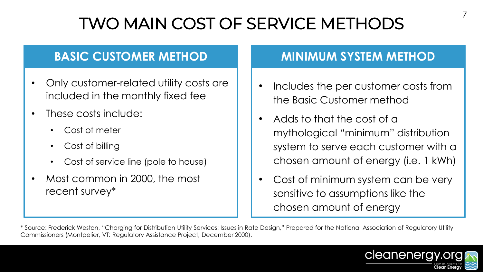# TWO MAIN COST OF SERVICE METHODS

### **BASIC CUSTOMER METHOD**

- Only customer-related utility costs are included in the monthly fixed fee
- These costs include:
	- Cost of meter
	- Cost of billing
	- Cost of service line (pole to house)
- Most common in 2000, the most recent survey\*

### **MINIMUM SYSTEM METHOD**

- Includes the per customer costs from the Basic Customer method
- Adds to that the cost of a mythological "minimum" distribution system to serve each customer with a chosen amount of energy (i.e. 1 kWh)
- Cost of minimum system can be very sensitive to assumptions like the chosen amount of energy

\* Source: Frederick Weston, "Charging for Distribution Utility Services: Issues in Rate Design," Prepared for the National Association of Regulatory Utility Commissioners (Montpelier, VT: Regulatory Assistance Project, December 2000).

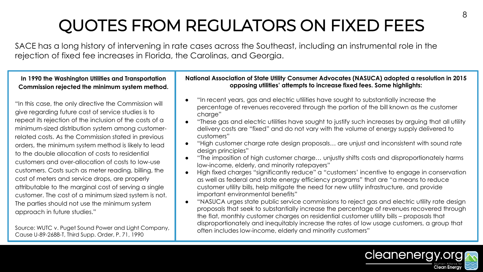# QUOTES FROM REGULATORS ON FIXED FEES

SACE has a long history of intervening in rate cases across the Southeast, including an instrumental role in the rejection of fixed fee increases in Florida, the Carolinas, and Georgia.

**In 1990 the Washington Utilities and Transportation Commission rejected the minimum system method.**

"In this case, the only directive the Commission will give regarding future cost of service studies is to repeat its rejection of the inclusion of the costs of a minimum-sized distribution system among customerrelated costs. As the Commission stated in previous orders, the minimum system method is likely to lead to the double allocation of costs to residential customers and over-allocation of costs to low-use customers. Costs such as meter reading, billing, the cost of meters and service drops, are properly attributable to the marginal cost of serving a single customer. The cost of a minimum sized system is not. The parties should not use the minimum system approach in future studies."

Source: WUTC v. Puget Sound Power and Light Company, Cause U-89-2688-T, Third Supp. Order, P. 71, 1990

#### **National Association of State Utility Consumer Advocates (NASUCA) adopted a resolution in 2015 opposing utilities' attempts to increase fixed fees. Some highlights:**

- "In recent years, gas and electric utilities have sought to substantially increase the percentage of revenues recovered through the portion of the bill known as the customer charge"
- "These gas and electric utilities have sought to justify such increases by arguing that all utility delivery costs are "fixed" and do not vary with the volume of energy supply delivered to customers"
- "High customer charge rate design proposals… are unjust and inconsistent with sound rate design principles"
- "The imposition of high customer charge… unjustly shifts costs and disproportionately harms low-income, elderly, and minority ratepayers"
- High fixed charges "significantly reduce" a "customers' incentive to engage in conservation as well as federal and state energy efficiency programs" that are "a means to reduce customer utility bills, help mitigate the need for new utility infrastructure, and provide important environmental benefits"
- "NASUCA urges state public service commissions to reject gas and electric utility rate design proposals that seek to substantially increase the percentage of revenues recovered through the flat, monthly customer charges on residential customer utility bills – proposals that disproportionately and inequitably increase the rates of low usage customers, a group that often includes low-income, elderly and minority customers"

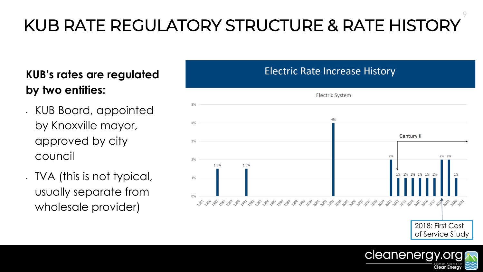# KUB RATE REGULATORY STRUCTURE & RATE HISTORY

### **KUB's rates are regulated by two entities:**

- KUB Board, appointed by Knoxville mayor, approved by city council
- TVA (this is not typical, usually separate from wholesale provider)

### **Electric Rate Increase History**



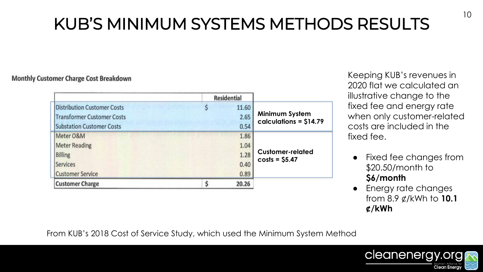# KUB'S MINIMUM SYSTEMS METHODS RESULTS

#### **Monthly Customer Charge Cost Breakdown**

|                                    | <b>Residential</b> |                                                 |
|------------------------------------|--------------------|-------------------------------------------------|
| <b>Distribution Customer Costs</b> | 11.60              | <b>Minimum System</b><br>calculations = \$14.79 |
| <b>Transformer Customer Costs</b>  | 2.65               |                                                 |
| <b>Substation Customer Costs</b>   | 0.54               |                                                 |
| Meter O&M                          | 1.86               | <b>Customer-related</b><br>$costs = $5.47$      |
| <b>Meter Reading</b>               | 1.04               |                                                 |
| <b>Billing</b>                     | 1.28               |                                                 |
| Services                           | 0.40               |                                                 |
| <b>Customer Service</b>            | 0.89               |                                                 |
| <b>Customer Charge</b>             | 20.26              |                                                 |

Keeping KUB's revenues in 2020 flat we calculated an illustrative change to the fixed fee and energy rate when only customer-related costs are included in the fixed fee.

- Fixed fee changes from \$20.50/month to **\$6/month**
- Energy rate changes from 8.9 ¢/kWh to **10.1 ¢/kWh**

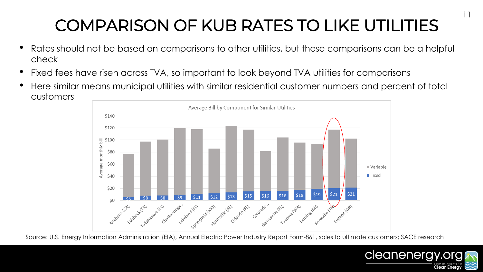# COMPARISON OF KUB RATES TO LIKE UTILITIES

- Rates should not be based on comparisons to other utilities, but these comparisons can be a helpful check
- Fixed fees have risen across TVA, so important to look beyond TVA utilities for comparisons
- Here similar means municipal utilities with similar residential customer numbers and percent of total customers



Source: U.S. Energy Information Administration (EIA), Annual Electric Power Industry Report Form-861, sales to ultimate customers; SACE research

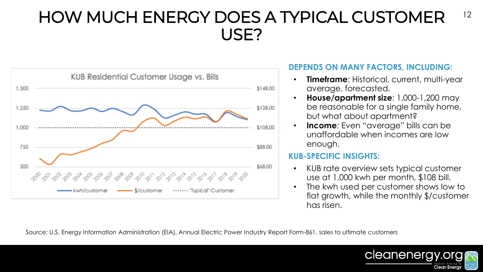

#### **DEPENDS ON MANY FACTORS, INCLUDING:**

- **Timeframe**: Historical, current, multi-year average, forecasted.
- **House/apartment size**: 1,000-1,200 may be reasonable for a single family home, but what about apartment?
- **Income**: Even "average" bills can be unaffordable when incomes are low enough.

#### **KUB-SPECIFIC INSIGHTS:**

- KUB rate overview sets typical customer use at 1,000 kwh per month, \$108 bill.
- The kwh used per customer shows low to flat growth, while the monthly \$/customer has risen.

Source: U.S. Energy Information Administration (EIA), Annual Electric Power Industry Report Form-861, sales to ultimate customers

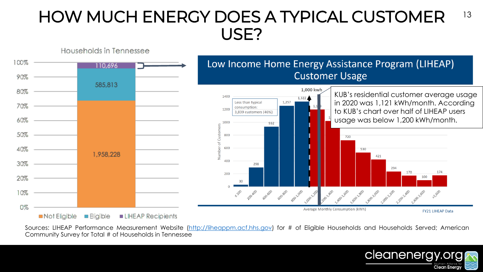

Sources: LIHEAP Performance Measurement Website [\(http://liheappm.acf.hhs.gov](http://liheappm.acf.hhs.gov)) for # of Eligible Households and Households Served; American Community Survey for Total # of Households in Tennessee

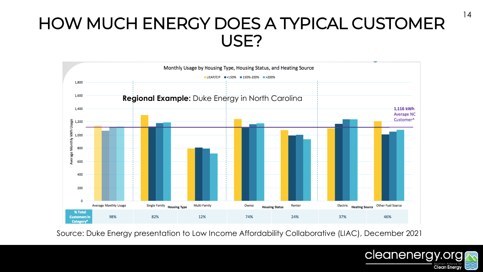

Source: Duke Energy presentation to Low Income Affordability Collaborative (LIAC), December 2021

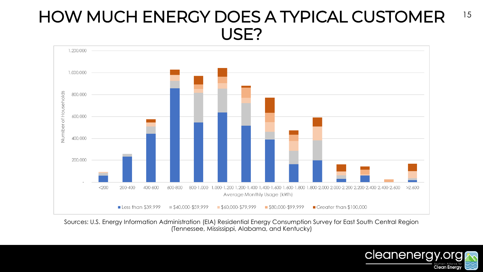

Sources: U.S. Energy Information Administration (EIA) Residential Energy Consumption Survey for East South Central Region (Tennessee, Mississippi, Alabama, and Kentucky)

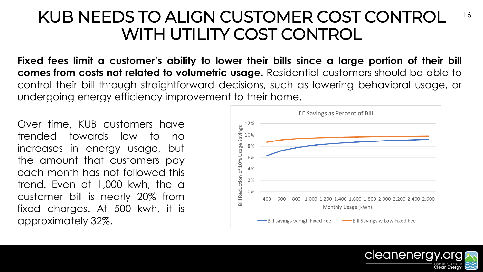### 16 KUB NEEDS TO ALIGN CUSTOMER COST CONTROL WITH UTILITY COST CONTROL

**Fixed fees limit a customer's ability to lower their bills since a large portion of their bill comes from costs not related to volumetric usage.** Residential customers should be able to control their bill through straightforward decisions, such as lowering behavioral usage, or undergoing energy efficiency improvement to their home.

Over time, KUB customers have trended towards low to no increases in energy usage, but the amount that customers pay each month has not followed this trend. Even at 1,000 kwh, the a customer bill is nearly 20% from fixed charges. At 500 kwh, it is approximately 32%.



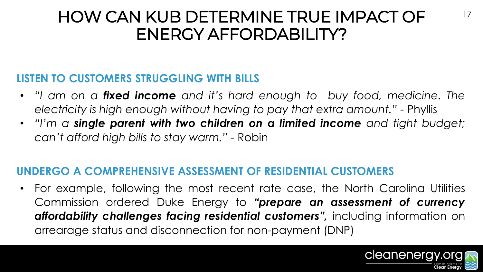## HOW CAN KUB DETERMINE TRUE IMPACT OF ENERGY AFFORDABILITY?

### **LISTEN TO CUSTOMERS STRUGGLING WITH BILLS**

- *"I am on a fixed income and it's hard enough to buy food, medicine. The electricity is high enough without having to pay that extra amount."* - Phyllis
- *"I'm a single parent with two children on a limited income and tight budget; can't afford high bills to stay warm."* - Robin

### **UNDERGO A COMPREHENSIVE ASSESSMENT OF RESIDENTIAL CUSTOMERS**

• For example, following the most recent rate case, the North Carolina Utilities Commission ordered Duke Energy to *"prepare an assessment of currency affordability challenges facing residential customers",* including information on arrearage status and disconnection for non-payment (DNP)

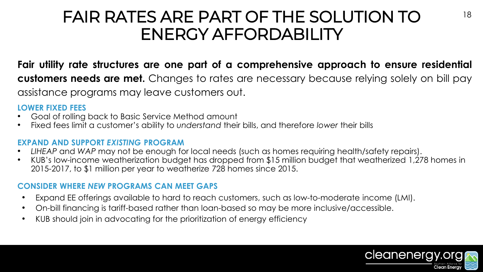## FAIR RATES ARE PART OF THE SOLUTION TO ENERGY AFFORDABILITY

**Fair utility rate structures are one part of a comprehensive approach to ensure residential customers needs are met.** Changes to rates are necessary because relying solely on bill pay assistance programs may leave customers out.

#### **LOWER FIXED FEES**

- Goal of rolling back to Basic Service Method amount
- Fixed fees limit a customer's ability to *understand* their bills, and therefore *lower* their bills

#### **EXPAND AND SUPPORT** *EXISTING* **PROGRAM**

- *LIHEAP* and *WAP* may not be enough for local needs (such as homes requiring health/safety repairs).
- KUB's low-income weatherization budget has dropped from \$15 million budget that weatherized 1,278 homes in 2015-2017, to \$1 million per year to weatherize 728 homes since 2015.

#### **CONSIDER WHERE** *NEW* **PROGRAMS CAN MEET GAPS**

- Expand EE offerings available to hard to reach customers, such as low-to-moderate income (LMI).
- On-bill financing is tariff-based rather than loan-based so may be more inclusive/accessible.
- KUB should join in advocating for the prioritization of energy efficiency